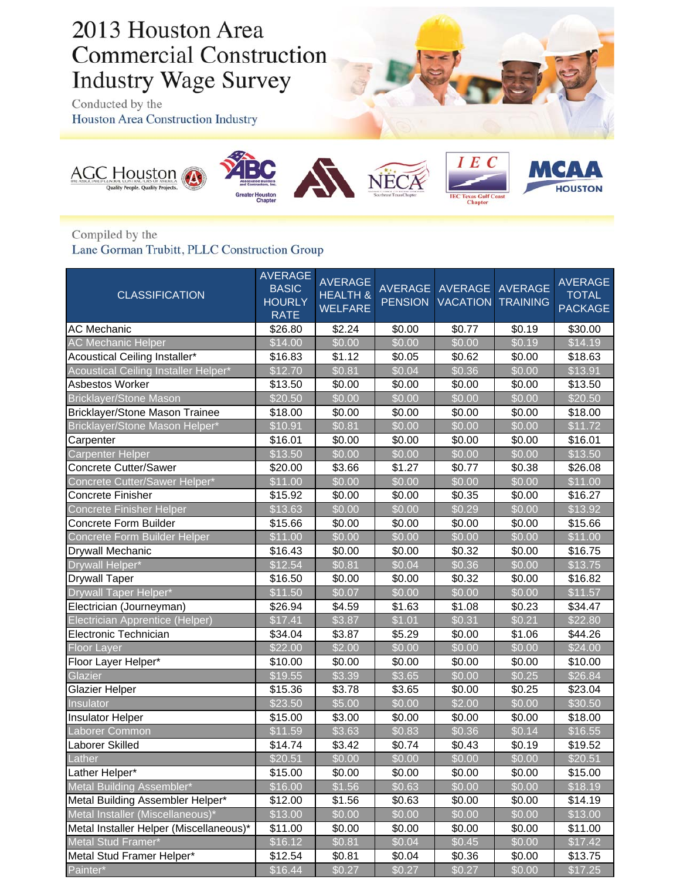## 2013 Houston Area **Commercial Construction Industry Wage Survey**

Conducted by the Houston Area Construction Industry







**Exas Gulf C**<br>Chapter



Compiled by the

Lane Gorman Trubitt, PLLC Construction Group

| <b>CLASSIFICATION</b>                   | <b>AVERAGE</b><br><b>BASIC</b><br><b>HOURLY</b><br><b>RATE</b> | <b>AVERAGE</b><br><b>HEALTH &amp;</b><br><b>WELFARE</b> | <b>AVERAGE</b><br><b>PENSION</b> | AVERAGE<br><b>VACATION</b> | <b>AVERAGE</b><br><b>TRAINING</b> | <b>AVERAGE</b><br><b>TOTAL</b><br><b>PACKAGE</b> |
|-----------------------------------------|----------------------------------------------------------------|---------------------------------------------------------|----------------------------------|----------------------------|-----------------------------------|--------------------------------------------------|
| <b>AC Mechanic</b>                      | \$26.80                                                        | \$2.24                                                  | \$0.00                           | \$0.77                     | \$0.19                            | \$30.00                                          |
| <b>AC Mechanic Helper</b>               | \$14.00                                                        | \$0.00                                                  | \$0.00                           | \$0.00                     | \$0.19                            | \$14.19                                          |
| Acoustical Ceiling Installer*           | \$16.83                                                        | \$1.12                                                  | \$0.05                           | \$0.62                     | \$0.00                            | \$18.63                                          |
| Acoustical Ceiling Installer Helper*    | \$12.70                                                        | \$0.81                                                  | \$0.04                           | \$0.36                     | \$0.00                            | \$13.91                                          |
| Asbestos Worker                         | \$13.50                                                        | \$0.00                                                  | \$0.00                           | \$0.00                     | \$0.00                            | \$13.50                                          |
| <b>Bricklayer/Stone Mason</b>           | \$20.50                                                        | \$0.00                                                  | \$0.00                           | \$0.00                     | \$0.00                            | \$20.50                                          |
| <b>Bricklayer/Stone Mason Trainee</b>   | \$18.00                                                        | \$0.00                                                  | \$0.00                           | \$0.00                     | \$0.00                            | \$18.00                                          |
| Bricklayer/Stone Mason Helper*          | \$10.91                                                        | \$0.81                                                  | \$0.00                           | \$0.00                     | \$0.00                            | \$11.72                                          |
| Carpenter                               | \$16.01                                                        | \$0.00                                                  | \$0.00                           | \$0.00                     | \$0.00                            | \$16.01                                          |
| <b>Carpenter Helper</b>                 | \$13.50                                                        | \$0.00                                                  | \$0.00                           | \$0.00                     | \$0.00                            | \$13.50                                          |
| <b>Concrete Cutter/Sawer</b>            | \$20.00                                                        | \$3.66                                                  | \$1.27                           | \$0.77                     | \$0.38                            | \$26.08                                          |
| Concrete Cutter/Sawer Helper*           | \$11.00                                                        | \$0.00                                                  | \$0.00                           | \$0.00                     | \$0.00                            | \$11.00                                          |
| Concrete Finisher                       | \$15.92                                                        | \$0.00                                                  | \$0.00                           | \$0.35                     | \$0.00                            | \$16.27                                          |
| Concrete Finisher Helper                | \$13.63                                                        | \$0.00                                                  | \$0.00                           | \$0.29                     | \$0.00                            | \$13.92                                          |
| Concrete Form Builder                   | \$15.66                                                        | \$0.00                                                  | \$0.00                           | \$0.00                     | \$0.00                            | \$15.66                                          |
| Concrete Form Builder Helper            | \$11.00                                                        | \$0.00                                                  | \$0.00                           | \$0.00                     | \$0.00                            | \$11.00                                          |
| Drywall Mechanic                        | \$16.43                                                        | \$0.00                                                  | \$0.00                           | \$0.32                     | \$0.00                            | \$16.75                                          |
| Drywall Helper*                         | \$12.54                                                        | \$0.81                                                  | \$0.04                           | \$0.36                     | \$0.00                            | \$13.75                                          |
| <b>Drywall Taper</b>                    | \$16.50                                                        | \$0.00                                                  | \$0.00                           | \$0.32                     | \$0.00                            | \$16.82                                          |
| Drywall Taper Helper*                   | \$11.50                                                        | \$0.07                                                  | \$0.00                           | \$0.00                     | \$0.00                            | \$11.57                                          |
| Electrician (Journeyman)                | \$26.94                                                        | \$4.59                                                  | \$1.63                           | \$1.08                     | \$0.23                            | \$34.47                                          |
| Electrician Apprentice (Helper)         | \$17.41                                                        | \$3.87                                                  | \$1.01                           | \$0.31                     | \$0.21                            | \$22.80                                          |
| Electronic Technician                   | \$34.04                                                        | \$3.87                                                  | \$5.29                           | \$0.00                     | \$1.06                            | \$44.26                                          |
| <b>Floor Layer</b>                      | \$22.00                                                        | \$2.00                                                  | \$0.00                           | \$0.00                     | \$0.00                            | \$24.00                                          |
| Floor Layer Helper*                     | \$10.00                                                        | \$0.00                                                  | \$0.00                           | \$0.00                     | \$0.00                            | \$10.00                                          |
| Glazier                                 | \$19.55                                                        | \$3.39                                                  | \$3.65                           | \$0.00                     | \$0.25                            | \$26.84                                          |
| <b>Glazier Helper</b>                   | \$15.36                                                        | \$3.78                                                  | \$3.65                           | \$0.00                     | \$0.25                            | \$23.04                                          |
| Insulator                               | \$23.50                                                        | \$5.00                                                  | \$0.00                           | \$2.00                     | \$0.00                            | \$30.50                                          |
| <b>Insulator Helper</b>                 | \$15.00                                                        | \$3.00                                                  | \$0.00                           | \$0.00                     | \$0.00                            | \$18.00                                          |
| Laborer Common                          | \$11.59                                                        | \$3.63                                                  | \$0.83                           | \$0.36                     | \$0.14                            | \$16.55                                          |
| Laborer Skilled                         | \$14.74                                                        | \$3.42                                                  | \$0.74                           | \$0.43                     | \$0.19                            | \$19.52                                          |
| Lather                                  | \$20.51                                                        | \$0.00                                                  | \$0.00                           | \$0.00                     | \$0.00                            | \$20.51                                          |
| Lather Helper*                          | \$15.00                                                        | \$0.00                                                  | \$0.00                           | \$0.00                     | \$0.00                            | \$15.00                                          |
| Metal Building Assembler*               | \$16.00                                                        | \$1.56                                                  | \$0.63                           | \$0.00                     | \$0.00                            | \$18.19                                          |
| Metal Building Assembler Helper*        | \$12.00                                                        | \$1.56                                                  | \$0.63                           | \$0.00                     | \$0.00                            | \$14.19                                          |
| Metal Installer (Miscellaneous)*        | \$13.00                                                        | \$0.00                                                  | \$0.00                           | \$0.00                     | \$0.00                            | \$13.00                                          |
| Metal Installer Helper (Miscellaneous)* | \$11.00                                                        | \$0.00                                                  | \$0.00                           | \$0.00                     | \$0.00                            | \$11.00                                          |
| Metal Stud Framer*                      | \$16.12                                                        | \$0.81                                                  | \$0.04                           | \$0.45                     | \$0.00                            | \$17.42                                          |
| Metal Stud Framer Helper*               | \$12.54                                                        | \$0.81                                                  | \$0.04                           | \$0.36                     | \$0.00                            | \$13.75                                          |
| Painter*                                | \$16.44                                                        | \$0.27                                                  | \$0.27                           | \$0.27                     | \$0.00                            | \$17.25                                          |